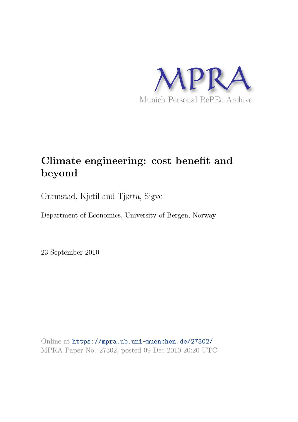

# **Climate engineering: cost benefit and beyond**

Gramstad, Kjetil and Tjøtta, Sigve

Department of Economics, University of Bergen, Norway

23 September 2010

Online at https://mpra.ub.uni-muenchen.de/27302/ MPRA Paper No. 27302, posted 09 Dec 2010 20:20 UTC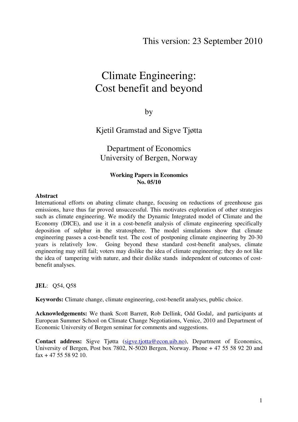# Climate Engineering: Cost benefit and beyond

by

Kjetil Gramstad and Sigve Tjøtta

Department of Economics University of Bergen, Norway

#### **Working Papers in Economics No. 05/10**

#### **Abstract**

International efforts on abating climate change, focusing on reductions of greenhouse gas emissions, have thus far proved unsuccessful. This motivates exploration of other strategies such as climate engineering. We modify the Dynamic Integrated model of Climate and the Economy (DICE), and use it in a cost-benefit analysis of climate engineering specifically deposition of sulphur in the stratosphere. The model simulations show that climate engineering passes a cost-benefit test. The cost of postponing climate engineering by 20-30 years is relatively low. Going beyond these standard cost-benefit analyses, climate engineering may still fail; voters may dislike the idea of climate engineering; they do not like the idea of tampering with nature, and their dislike stands independent of outcomes of costbenefit analyses.

#### **JEL**: Q54, Q58

**Keywords:** Climate change, climate engineering, cost-benefit analyses, public choice.

**Acknowledgements:** We thank Scott Barrett, Rob Dellink, Odd Godal, and participants at European Summer School on Climate Change Negotiations, Venice, 2010 and Department of Economic University of Bergen seminar for comments and suggestions.

**Contact address:** Sigve Tjøtta (sigve.tjotta@econ.uib.no), Department of Economics, University of Bergen, Post box 7802, N-5020 Bergen, Norway. Phone + 47 55 58 92 20 and  $\text{fax} + 47, 55, 58, 92, 10$ .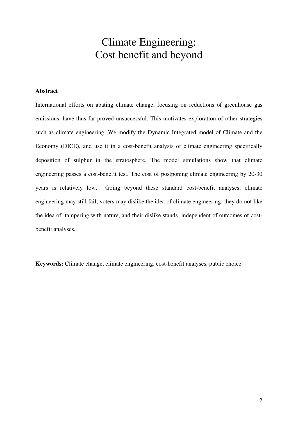# Climate Engineering: Cost benefit and beyond

#### **Abstract**

International efforts on abating climate change, focusing on reductions of greenhouse gas emissions, have thus far proved unsuccessful. This motivates exploration of other strategies such as climate engineering. We modify the Dynamic Integrated model of Climate and the Economy (DICE), and use it in a cost-benefit analysis of climate engineering specifically deposition of sulphur in the stratosphere. The model simulations show that climate engineering passes a cost-benefit test. The cost of postponing climate engineering by 20-30 years is relatively low. Going beyond these standard cost-benefit analyses, climate engineering may still fail; voters may dislike the idea of climate engineering; they do not like the idea of tampering with nature, and their dislike stands independent of outcomes of costbenefit analyses.

**Keywords:** Climate change, climate engineering, cost-benefit analyses, public choice.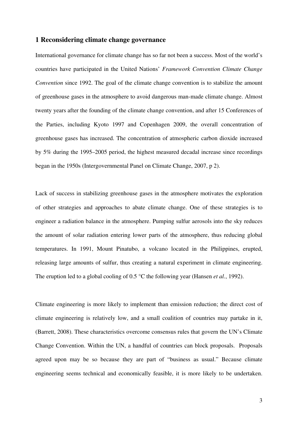#### **1 Reconsidering climate change governance**

International governance for climate change has so far not been a success. Most of the world's countries have participated in the United Nations' *Framework Convention Climate Change Convention* since 1992. The goal of the climate change convention is to stabilize the amount of greenhouse gases in the atmosphere to avoid dangerous man-made climate change. Almost twenty years after the founding of the climate change convention, and after 15 Conferences of the Parties, including Kyoto 1997 and Copenhagen 2009, the overall concentration of greenhouse gases has increased. The concentration of atmospheric carbon dioxide increased by 5% during the 1995–2005 period, the highest measured decadal increase since recordings began in the 1950s (Intergovernmental Panel on Climate Change, 2007, p 2).

Lack of success in stabilizing greenhouse gases in the atmosphere motivates the exploration of other strategies and approaches to abate climate change. One of these strategies is to engineer a radiation balance in the atmosphere. Pumping sulfur aerosols into the sky reduces the amount of solar radiation entering lower parts of the atmosphere, thus reducing global temperatures. In 1991, Mount Pinatubo, a volcano located in the Philippines, erupted, releasing large amounts of sulfur, thus creating a natural experiment in climate engineering. The eruption led to a global cooling of 0.5 °C the following year (Hansen *et al.*, 1992).

Climate engineering is more likely to implement than emission reduction; the direct cost of climate engineering is relatively low, and a small coalition of countries may partake in it, (Barrett, 2008). These characteristics overcome consensus rules that govern the UN's Climate Change Convention. Within the UN, a handful of countries can block proposals. Proposals agreed upon may be so because they are part of "business as usual." Because climate engineering seems technical and economically feasible, it is more likely to be undertaken.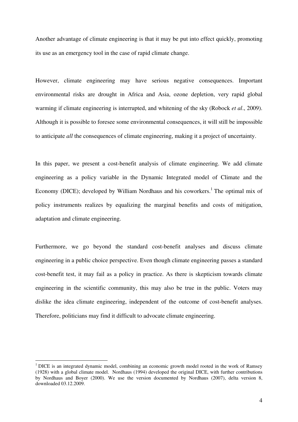Another advantage of climate engineering is that it may be put into effect quickly, promoting its use as an emergency tool in the case of rapid climate change.

However, climate engineering may have serious negative consequences. Important environmental risks are drought in Africa and Asia, ozone depletion, very rapid global warming if climate engineering is interrupted, and whitening of the sky (Robock *et al*., 2009). Although it is possible to foresee some environmental consequences, it will still be impossible to anticipate *all* the consequences of climate engineering, making it a project of uncertainty.

In this paper, we present a cost-benefit analysis of climate engineering. We add climate engineering as a policy variable in the Dynamic Integrated model of Climate and the Economy (DICE); developed by William Nordhaus and his coworkers.<sup>1</sup> The optimal mix of policy instruments realizes by equalizing the marginal benefits and costs of mitigation, adaptation and climate engineering.

Furthermore, we go beyond the standard cost-benefit analyses and discuss climate engineering in a public choice perspective. Even though climate engineering passes a standard cost-benefit test, it may fail as a policy in practice. As there is skepticism towards climate engineering in the scientific community, this may also be true in the public. Voters may dislike the idea climate engineering, independent of the outcome of cost-benefit analyses. Therefore, politicians may find it difficult to advocate climate engineering.

<sup>&</sup>lt;sup>1</sup> DICE is an integrated dynamic model, combining an economic growth model rooted in the work of Ramsey (1928) with a global climate model. Nordhaus (1994) developed the original DICE, with further contributions by Nordhaus and Boyer (2000). We use the version documented by Nordhaus (2007), delta version 8, downloaded 03.12.2009.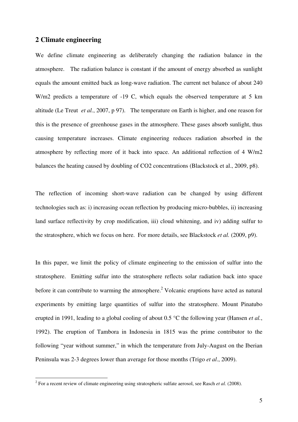#### **2 Climate engineering**

We define climate engineering as deliberately changing the radiation balance in the atmosphere. The radiation balance is constant if the amount of energy absorbed as sunlight equals the amount emitted back as long-wave radiation. The current net balance of about 240 W/m2 predicts a temperature of -19 C, which equals the observed temperature at 5 km altitude (Le Treut *et al.*, 2007, p 97). The temperature on Earth is higher, and one reason for this is the presence of greenhouse gases in the atmosphere. These gases absorb sunlight, thus causing temperature increases. Climate engineering reduces radiation absorbed in the atmosphere by reflecting more of it back into space. An additional reflection of 4 W/m2 balances the heating caused by doubling of CO2 concentrations (Blackstock et al., 2009, p8).

The reflection of incoming short-wave radiation can be changed by using different technologies such as: i) increasing ocean reflection by producing micro-bubbles, ii) increasing land surface reflectivity by crop modification, iii) cloud whitening, and iv) adding sulfur to the stratosphere, which we focus on here. For more details, see Blackstock *et al.* (2009, p9).

In this paper, we limit the policy of climate engineering to the emission of sulfur into the stratosphere. Emitting sulfur into the stratosphere reflects solar radiation back into space before it can contribute to warming the atmosphere.<sup>2</sup> Volcanic eruptions have acted as natural experiments by emitting large quantities of sulfur into the stratosphere. Mount Pinatubo erupted in 1991, leading to a global cooling of about 0.5 °C the following year (Hansen *et al.*, 1992). The eruption of Tambora in Indonesia in 1815 was the prime contributor to the following "year without summer," in which the temperature from July-August on the Iberian Peninsula was 2-3 degrees lower than average for those months (Trigo *et al*., 2009).

 2 For a recent review of climate engineering using stratospheric sulfate aerosol, see Rasch *et al.* (2008).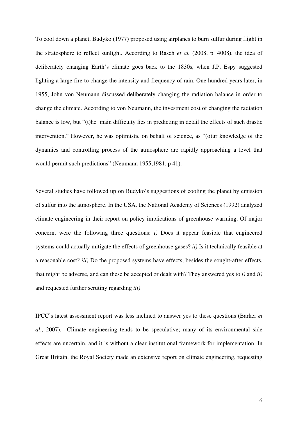To cool down a planet, Budyko (1977) proposed using airplanes to burn sulfur during flight in the stratosphere to reflect sunlight. According to Rasch *et al.* (2008, p. 4008), the idea of deliberately changing Earth's climate goes back to the 1830s, when J.P. Espy suggested lighting a large fire to change the intensity and frequency of rain. One hundred years later, in 1955, John von Neumann discussed deliberately changing the radiation balance in order to change the climate. According to von Neumann, the investment cost of changing the radiation balance is low, but "(t)he main difficulty lies in predicting in detail the effects of such drastic intervention." However, he was optimistic on behalf of science, as "(o)ur knowledge of the dynamics and controlling process of the atmosphere are rapidly approaching a level that would permit such predictions" (Neumann 1955,1981, p 41).

Several studies have followed up on Budyko's suggestions of cooling the planet by emission of sulfur into the atmosphere. In the USA, the National Academy of Sciences (1992) analyzed climate engineering in their report on policy implications of greenhouse warming. Of major concern, were the following three questions: *i)* Does it appear feasible that engineered systems could actually mitigate the effects of greenhouse gases? *ii)* Is it technically feasible at a reasonable cost? *iii)* Do the proposed systems have effects, besides the sought-after effects, that might be adverse, and can these be accepted or dealt with? They answered yes to *i)* and *ii)* and requested further scrutiny regarding *iii)*.

IPCC's latest assessment report was less inclined to answer yes to these questions (Barker *et al*., 2007). Climate engineering tends to be speculative; many of its environmental side effects are uncertain, and it is without a clear institutional framework for implementation. In Great Britain, the Royal Society made an extensive report on climate engineering, requesting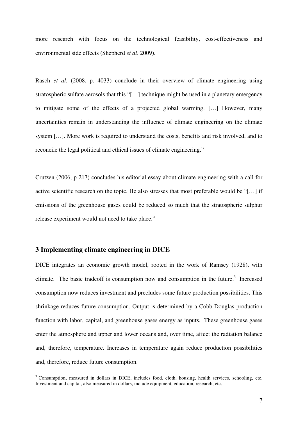more research with focus on the technological feasibility, cost-effectiveness and environmental side effects (Shepherd *et al*. 2009).

Rasch *et al.* (2008, p. 4033) conclude in their overview of climate engineering using stratospheric sulfate aerosols that this "[…] technique might be used in a planetary emergency to mitigate some of the effects of a projected global warming. […] However, many uncertainties remain in understanding the influence of climate engineering on the climate system […]. More work is required to understand the costs, benefits and risk involved, and to reconcile the legal political and ethical issues of climate engineering."

Crutzen (2006, p 217) concludes his editorial essay about climate engineering with a call for active scientific research on the topic. He also stresses that most preferable would be "[…] if emissions of the greenhouse gases could be reduced so much that the stratospheric sulphur release experiment would not need to take place."

#### **3 Implementing climate engineering in DICE**

DICE integrates an economic growth model, rooted in the work of Ramsey (1928), with climate. The basic tradeoff is consumption now and consumption in the future.<sup>3</sup> Increased consumption now reduces investment and precludes some future production possibilities. This shrinkage reduces future consumption. Output is determined by a Cobb-Douglas production function with labor, capital, and greenhouse gases energy as inputs. These greenhouse gases enter the atmosphere and upper and lower oceans and, over time, affect the radiation balance and, therefore, temperature. Increases in temperature again reduce production possibilities and, therefore, reduce future consumption.

<sup>&</sup>lt;sup>3</sup> Consumption, measured in dollars in DICE, includes food, cloth, housing, health services, schooling, etc. Investment and capital, also measured in dollars, include equipment, education, research, etc.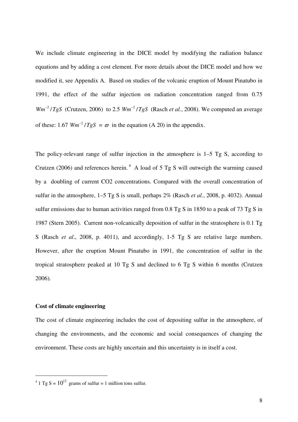We include climate engineering in the DICE model by modifying the radiation balance equations and by adding a cost element. For more details about the DICE model and how we modified it, see Appendix A. Based on studies of the volcanic eruption of Mount Pinatubo in 1991, the effect of the sulfur injection on radiation concentration ranged from 0.75  $Wm^{-2}/TgS$  (Crutzen, 2006) to 2.5  $Wm^{-2}/TgS$  (Rasch *et al.*, 2008). We computed an average of these: 1.67  $Wm^{-2}/TgS = \varpi$  in the equation (A 20) in the appendix.

The policy-relevant range of sulfur injection in the atmosphere is 1–5 Tg S, according to Crutzen (2006) and references herein.<sup>4</sup> A load of 5 Tg S will outweigh the warming caused by a doubling of current CO2 concentrations. Compared with the overall concentration of sulfur in the atmosphere, 1–5 Tg S is small, perhaps 2% (Rasch *et al.*, 2008, p. 4032). Annual sulfur emissions due to human activities ranged from 0.8 Tg S in 1850 to a peak of 73 Tg S in 1987 (Stern 2005). Current non-volcanically deposition of sulfur in the stratosphere is 0.1 Tg S (Rasch *et al*., 2008, p. 4011), and accordingly, 1-5 Tg S are relative large numbers. However, after the eruption Mount Pinatubo in 1991, the concentration of sulfur in the tropical stratosphere peaked at 10 Tg S and declined to 6 Tg S within 6 months (Crutzen 2006).

#### **Cost of climate engineering**

-

The cost of climate engineering includes the cost of depositing sulfur in the atmosphere, of changing the environments, and the economic and social consequences of changing the environment. These costs are highly uncertain and this uncertainty is in itself a cost.

<sup>&</sup>lt;sup>4</sup> 1 Tg S =  $10^{12}$  grams of sulfur = 1 million tons sulfur.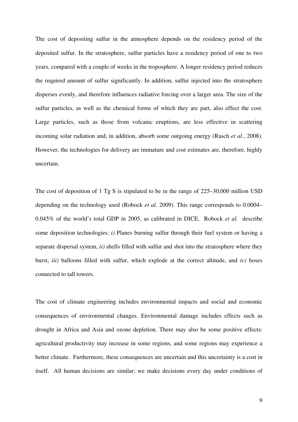The cost of depositing sulfur in the atmosphere depends on the residency period of the deposited sulfur. In the stratosphere, sulfur particles have a residency period of one to two years, compared with a couple of weeks in the troposphere. A longer residency period reduces the required amount of sulfur significantly. In addition, sulfur injected into the stratosphere disperses evenly, and therefore influences radiative forcing over a larger area. The size of the sulfur particles, as well as the chemical forms of which they are part, also effect the cost. Large particles, such as those from volcanic eruptions, are less effective in scattering incoming solar radiation and, in addition, absorb some outgoing energy (Rasch *et al*., 2008). However, the technologies for delivery are immature and cost estimates are, therefore, highly uncertain.

The cost of deposition of 1 Tg S is stipulated to be in the range of 225–30,000 million USD depending on the technology used (Robock *et al.* 2009). This range corresponds to 0.0004– 0.045% of the world's total GDP in 2005, as calibrated in DICE. Robock *et al.* describe some deposition technologies: *i)* Planes burning sulfur through their fuel system or having a separate dispersal system, *ii)* shells filled with sulfur and shot into the stratosphere where they burst, *iii)* balloons filled with sulfur, which explode at the correct altitude, and *iv)* hoses connected to tall towers.

The cost of climate engineering includes environmental impacts and social and economic consequences of environmental changes. Environmental damage includes effects such as drought in Africa and Asia and ozone depletion. There may also be some positive effects: agricultural productivity may increase in some regions, and some regions may experience a better climate. Furthermore, these consequences are uncertain and this uncertainty is a cost in itself. All human decisions are similar; we make decisions every day under conditions of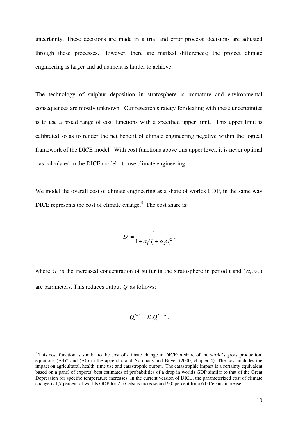uncertainty. These decisions are made in a trial and error process; decisions are adjusted through these processes. However, there are marked differences; the project climate engineering is larger and adjustment is harder to achieve.

The technology of sulphur deposition in stratosphere is immature and environmental consequences are mostly unknown. Our research strategy for dealing with these uncertainties is to use a broad range of cost functions with a specified upper limit. This upper limit is calibrated so as to render the net benefit of climate engineering negative within the logical framework of the DICE model. With cost functions above this upper level, it is never optimal - as calculated in the DICE model - to use climate engineering.

We model the overall cost of climate engineering as a share of worlds GDP, in the same way DICE represents the cost of climate change.<sup>5</sup> The cost share is:

$$
D_t = \frac{1}{1 + \alpha_1 G_t + \alpha_2 G_t^2},
$$

where  $G_t$  is the increased concentration of sulfur in the stratosphere in period t and  $(\alpha_1, \alpha_2)$ are parameters. This reduces output  $Q_t$  as follows:

$$
Q_t^{\text{Net}} = D_t Q_t^{\text{Gross}}.
$$

-

<sup>&</sup>lt;sup>5</sup> This cost function is similar to the cost of climate change in DICE; a share of the world's gross production, equations (A4)\* and (A6) in the appendix and Nordhaus and Boyer (2000, chapter 4). The cost includes the impact on agricultural, health, time use and catastrophic output. The catastrophic impact is a certainty equivalent based on a panel of experts' best estimates of probabilities of a drop in worlds GDP similar to that of the Great Depression for specific temperature increases. In the current version of DICE, the parameterized cost of climate change is 1,7 percent of worlds GDP for 2.5 Celsius increase and 9,0 percent for a 6.0 Celsius increase.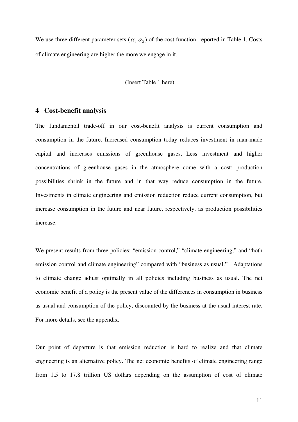We use three different parameter sets ( $\alpha_1, \alpha_2$ ) of the cost function, reported in Table 1. Costs of climate engineering are higher the more we engage in it.

(Insert Table 1 here)

#### **4 Cost-benefit analysis**

The fundamental trade-off in our cost-benefit analysis is current consumption and consumption in the future. Increased consumption today reduces investment in man-made capital and increases emissions of greenhouse gases. Less investment and higher concentrations of greenhouse gases in the atmosphere come with a cost; production possibilities shrink in the future and in that way reduce consumption in the future. Investments in climate engineering and emission reduction reduce current consumption, but increase consumption in the future and near future, respectively, as production possibilities increase.

We present results from three policies: "emission control," "climate engineering," and "both emission control and climate engineering" compared with "business as usual." Adaptations to climate change adjust optimally in all policies including business as usual. The net economic benefit of a policy is the present value of the differences in consumption in business as usual and consumption of the policy, discounted by the business at the usual interest rate. For more details, see the appendix.

Our point of departure is that emission reduction is hard to realize and that climate engineering is an alternative policy. The net economic benefits of climate engineering range from 1.5 to 17.8 trillion US dollars depending on the assumption of cost of climate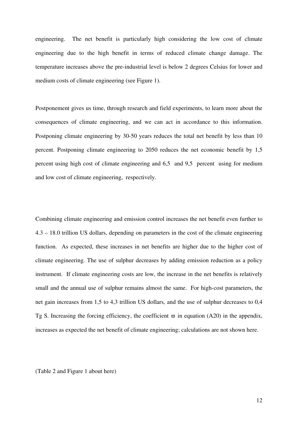engineering. The net benefit is particularly high considering the low cost of climate engineering due to the high benefit in terms of reduced climate change damage. The temperature increases above the pre-industrial level is below 2 degrees Celsius for lower and medium costs of climate engineering (see Figure 1).

Postponement gives us time, through research and field experiments, to learn more about the consequences of climate engineering, and we can act in accordance to this information. Postponing climate engineering by 30-50 years reduces the total net benefit by less than 10 percent. Postponing climate engineering to 2050 reduces the net economic benefit by 1,5 percent using high cost of climate engineering and 6,5 and 9,5 percent using for medium and low cost of climate engineering, respectively.

Combining climate engineering and emission control increases the net benefit even further to 4.3 – 18.0 trillion US dollars, depending on parameters in the cost of the climate engineering function. As expected, these increases in net benefits are higher due to the higher cost of climate engineering. The use of sulphur decreases by adding emission reduction as a policy instrument. If climate engineering costs are low, the increase in the net benefits is relatively small and the annual use of sulphur remains almost the same. For high-cost parameters, the net gain increases from 1,5 to 4,3 trillion US dollars, and the use of sulphur decreases to 0,4 Tg S. Increasing the forcing efficiency, the coefficient  $\varpi$  in equation (A20) in the appendix, increases as expected the net benefit of climate engineering; calculations are not shown here.

(Table 2 and Figure 1 about here)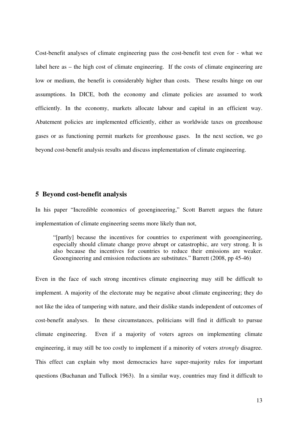Cost-benefit analyses of climate engineering pass the cost-benefit test even for - what we label here as – the high cost of climate engineering. If the costs of climate engineering are low or medium, the benefit is considerably higher than costs. These results hinge on our assumptions. In DICE, both the economy and climate policies are assumed to work efficiently. In the economy, markets allocate labour and capital in an efficient way. Abatement policies are implemented efficiently, either as worldwide taxes on greenhouse gases or as functioning permit markets for greenhouse gases. In the next section, we go beyond cost-benefit analysis results and discuss implementation of climate engineering.

#### **5 Beyond cost-benefit analysis**

In his paper "Incredible economics of geoengineering," Scott Barrett argues the future implementation of climate engineering seems more likely than not,

"[partly] because the incentives for countries to experiment with geoengineering, especially should climate change prove abrupt or catastrophic, are very strong. It is also because the incentives for countries to reduce their emissions are weaker. Geoengineering and emission reductions are substitutes." Barrett (2008, pp 45-46)

Even in the face of such strong incentives climate engineering may still be difficult to implement. A majority of the electorate may be negative about climate engineering; they do not like the idea of tampering with nature, and their dislike stands independent of outcomes of cost-benefit analyses. In these circumstances, politicians will find it difficult to pursue climate engineering. Even if a majority of voters agrees on implementing climate engineering, it may still be too costly to implement if a minority of voters *strongly* disagree. This effect can explain why most democracies have super-majority rules for important questions (Buchanan and Tullock 1963). In a similar way, countries may find it difficult to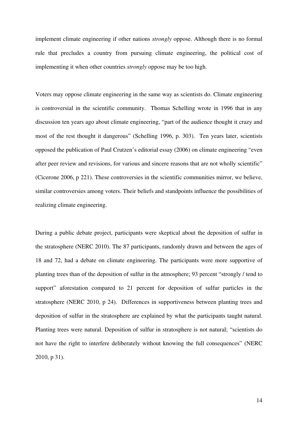implement climate engineering if other nations *strongly* oppose. Although there is no formal rule that precludes a country from pursuing climate engineering, the political cost of implementing it when other countries *strongly* oppose may be too high.

Voters may oppose climate engineering in the same way as scientists do. Climate engineering is controversial in the scientific community. Thomas Schelling wrote in 1996 that in any discussion ten years ago about climate engineering, "part of the audience thought it crazy and most of the rest thought it dangerous" (Schelling 1996, p. 303). Ten years later, scientists opposed the publication of Paul Crutzen's editorial essay (2006) on climate engineering "even after peer review and revisions, for various and sincere reasons that are not wholly scientific" (Cicerone 2006, p 221). These controversies in the scientific communities mirror, we believe, similar controversies among voters. Their beliefs and standpoints influence the possibilities of realizing climate engineering.

During a public debate project, participants were skeptical about the deposition of sulfur in the stratosphere (NERC 2010). The 87 participants, randomly drawn and between the ages of 18 and 72, had a debate on climate engineering. The participants were more supportive of planting trees than of the deposition of sulfur in the atmosphere; 93 percent "strongly / tend to support" aforestation compared to 21 percent for deposition of sulfur particles in the stratosphere (NERC 2010, p 24). Differences in supportiveness between planting trees and deposition of sulfur in the stratosphere are explained by what the participants taught natural. Planting trees were natural. Deposition of sulfur in stratosphere is not natural; "scientists do not have the right to interfere deliberately without knowing the full consequences" (NERC 2010, p 31).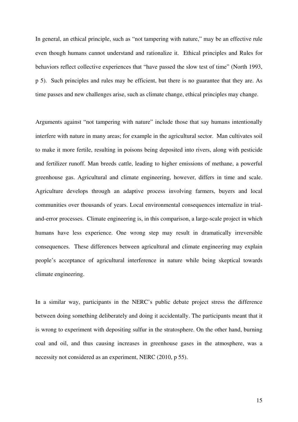In general, an ethical principle, such as "not tampering with nature," may be an effective rule even though humans cannot understand and rationalize it. Ethical principles and Rules for behaviors reflect collective experiences that "have passed the slow test of time" (North 1993, p 5). Such principles and rules may be efficient, but there is no guarantee that they are. As time passes and new challenges arise, such as climate change, ethical principles may change.

Arguments against "not tampering with nature" include those that say humans intentionally interfere with nature in many areas; for example in the agricultural sector. Man cultivates soil to make it more fertile, resulting in poisons being deposited into rivers, along with pesticide and fertilizer runoff. Man breeds cattle, leading to higher emissions of methane, a powerful greenhouse gas. Agricultural and climate engineering, however, differs in time and scale. Agriculture develops through an adaptive process involving farmers, buyers and local communities over thousands of years. Local environmental consequences internalize in trialand-error processes. Climate engineering is, in this comparison, a large-scale project in which humans have less experience. One wrong step may result in dramatically irreversible consequences. These differences between agricultural and climate engineering may explain people's acceptance of agricultural interference in nature while being skeptical towards climate engineering.

In a similar way, participants in the NERC's public debate project stress the difference between doing something deliberately and doing it accidentally. The participants meant that it is wrong to experiment with depositing sulfur in the stratosphere. On the other hand, burning coal and oil, and thus causing increases in greenhouse gases in the atmosphere, was a necessity not considered as an experiment, NERC (2010, p 55).

15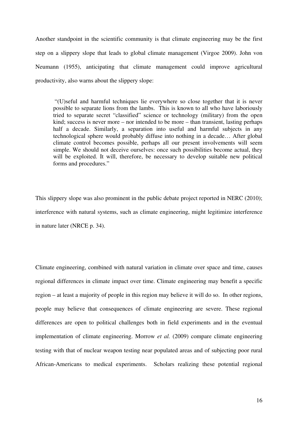Another standpoint in the scientific community is that climate engineering may be the first step on a slippery slope that leads to global climate management (Virgoe 2009). John von Neumann (1955), anticipating that climate management could improve agricultural productivity, also warns about the slippery slope:

 "(U)seful and harmful techniques lie everywhere so close together that it is never possible to separate lions from the lambs. This is known to all who have laboriously tried to separate secret "classified" science or technology (military) from the open kind; success is never more – nor intended to be more – than transient, lasting perhaps half a decade. Similarly, a separation into useful and harmful subjects in any technological sphere would probably diffuse into nothing in a decade… After global climate control becomes possible, perhaps all our present involvements will seem simple. We should not deceive ourselves: once such possibilities become actual, they will be exploited. It will, therefore, be necessary to develop suitable new political forms and procedures."

This slippery slope was also prominent in the public debate project reported in NERC (2010); interference with natural systems, such as climate engineering, might legitimize interference in nature later (NRCE p. 34).

Climate engineering, combined with natural variation in climate over space and time, causes regional differences in climate impact over time. Climate engineering may benefit a specific region – at least a majority of people in this region may believe it will do so. In other regions, people may believe that consequences of climate engineering are severe. These regional differences are open to political challenges both in field experiments and in the eventual implementation of climate engineering. Morrow *et al.* (2009) compare climate engineering testing with that of nuclear weapon testing near populated areas and of subjecting poor rural African-Americans to medical experiments. Scholars realizing these potential regional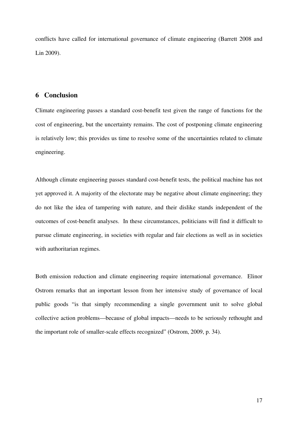conflicts have called for international governance of climate engineering (Barrett 2008 and Lin 2009).

#### **6 Conclusion**

Climate engineering passes a standard cost-benefit test given the range of functions for the cost of engineering, but the uncertainty remains. The cost of postponing climate engineering is relatively low; this provides us time to resolve some of the uncertainties related to climate engineering.

Although climate engineering passes standard cost-benefit tests, the political machine has not yet approved it. A majority of the electorate may be negative about climate engineering; they do not like the idea of tampering with nature, and their dislike stands independent of the outcomes of cost-benefit analyses. In these circumstances, politicians will find it difficult to pursue climate engineering, in societies with regular and fair elections as well as in societies with authoritarian regimes.

Both emission reduction and climate engineering require international governance. Elinor Ostrom remarks that an important lesson from her intensive study of governance of local public goods "is that simply recommending a single government unit to solve global collective action problems—because of global impacts—needs to be seriously rethought and the important role of smaller-scale effects recognized" (Ostrom, 2009, p. 34).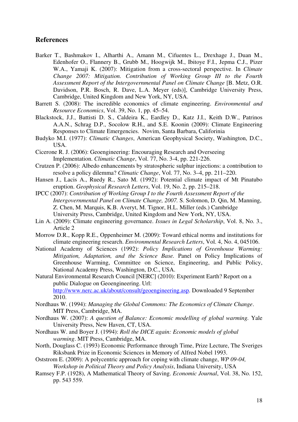#### **References**

- Barker T., Bashmakov I., Alharthi A., Amann M., Cifuentes L., Drexhage J., Duan M., Edenhofer O., Flannery B., Grubb M., Hoogwijk M., Ibitoye F.I., Jepma C.J., Pizer W.A., Yamaji K. (2007): Mitigation from a cross-sectoral perspective. In *Climate Change 2007: Mitigation. Contribution of Working Group III to the Fourth Assessment Report of the Intergovernmental Panel on Climate Change* [B. Metz, O.R. Davidson, P.R. Bosch, R. Dave, L.A. Meyer (eds)], Cambridge University Press, Cambridge, United Kingdom and New York, NY, USA.
- Barrett S. (2008): The incredible economics of climate engineering. *Environmental and Resource Economics*, Vol. 39, No. 1, pp. 45–54.
- Blackstock, J.J., Battisti D. S., Caldeira K., Eardley D., Katz J.I., Keith D.W., Patrinos A.A.N., Schrag D.P., Socolow R.H., and S.E. Koonin (2009): Climate Engineering Responses to Climate Emergencies. Novim, Santa Barbara, Califorinia
- Budyko M.I. (1977): *Climatic Changes*, American Geophysical Society, Washington, D.C., USA.
- Cicerone R. J. (2006): Geoengineering: Encouraging Research and Overseeing Implementation. *Climatic Change*, Vol. 77, No. 3-4, pp. 221-226.
- Crutzen P. (2006): Albedo enhancements by stratospheric sulphur injections: a contribution to resolve a policy dilemma? *Climatic Change*, Vol. 77, No. 3–4, pp. 211–220.
- Hansen J., Lacis A., Ruedy R., Sato M. (1992): Potential climate impact of Mt Pinatubo eruption. *Geophysical Research Letters*, Vol. 19, No. 2, pp. 215–218.
- IPCC (2007): *Contribution of Working Group I to the Fourth Assessment Report of the Intergovernmental Panel on Climate Change, 2007.* S. Solomon, D. Qin, M. Manning, Z. Chen, M. Marquis, K.B. Averyt, M. Tignor, H.L. Miller (eds.) Cambridge University Press, Cambridge, United Kingdom and New York, NY, USA.
- Lin A. (2009): Climate engineering governance. *Issues in Legal Scholarship*, Vol. 8, No. 3., Article 2
- Morrow D.R., Kopp R.E., Oppenheimer M. (2009): Toward ethical norms and institutions for climate engineering research. *Environmental Research Letters*, Vol. 4, No. 4, 045106.
- National Academy of Sciences (1992): *Policy Implications of Greenhouse Warming: Mitigation, Adaptation, and the Science Base.* Panel on Policy Implications of Greenhouse Warming, Committee on Science, Engineering, and Public Policy, National Academy Press, Washington, D.C., USA.
- Natural Environmental Research Council [NERC] (2010): Experiment Earth? Report on a public Dialogue on Geoengineering. Url: http://www.nerc.ac.uk/about/consult/geoengineering.asp. Downloaded 9 September 2010.
- Nordhaus W. (1994): *Managing the Global Commons: The Economics of Climate Change*. MIT Press, Cambridge, MA.
- Nordhaus W. (2007): *A question of Balance: Economic modelling of global warming.* Yale University Press, New Haven, CT, USA.
- Nordhaus W. and Boyer J. (1994): *Roll the DICE again: Economic models of global warming*. MIT Press, Cambridge, MA.
- North, Douglass C. (1993) Economic Performance through Time, Prize Lecture, The Sveriges Riksbank Prize in Economic Sciences in Memory of Alfred Nobel 1993.
- Oststrom E. (2009): A polycentric approach for coping with climate change, *WP 09-04, Workshop in Political Theory and Policy Analysis*, Indiana University, USA
- Ramsey F.P. (1928), A Mathematical Theory of Saving. *Economic Journal*, Vol. 38, No. 152, pp. 543 559.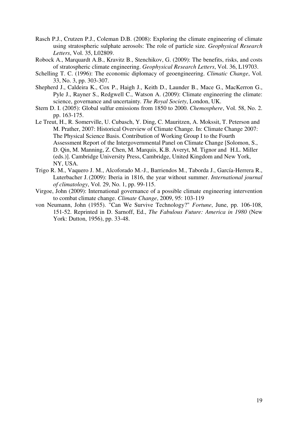- Rasch P.J., Crutzen P.J., Coleman D.B. (2008): Exploring the climate engineering of climate using stratospheric sulphate aerosols: The role of particle size. *Geophysical Research Letters*, Vol. 35, L02809.
- Robock A., Marquardt A.B., Kravitz B., Stenchikov, G. (2009): The benefits, risks, and costs of stratospheric climate engineering. *Geophysical Research Letters*, Vol. 36, L19703.
- Schelling T. C. (1996): The economic diplomacy of geoengineering. *Climatic Change*, Vol. 33, No. 3, pp. 303-307.
- Shepherd J., Caldeira K., Cox P., Haigh J., Keith D., Launder B., Mace G., MacKerron G., Pyle J., Rayner S., Redgwell C., Watson A. (2009): Climate engineering the climate: science, governance and uncertainty*. The Royal Society*, London, UK.
- Stern D. I. (2005): Global sulfur emissions from 1850 to 2000. *Chemosphere*, Vol. 58, No. 2. pp. 163-175.
- Le Treut, H., R. Somerville, U. Cubasch, Y. Ding, C. Mauritzen, A. Mokssit, T. Peterson and M. Prather, 2007: Historical Overview of Climate Change. In: Climate Change 2007: The Physical Science Basis. Contribution of Working Group I to the Fourth Assessment Report of the Intergovernmental Panel on Climate Change [Solomon, S., D. Qin, M. Manning, Z. Chen, M. Marquis, K.B. Averyt, M. Tignor and H.L. Miller (eds.)]. Cambridge University Press, Cambridge, United Kingdom and New York, NY, USA.
- Trigo R. M., Vaquero J. M., Alcoforado M.-J., Barriendos M., Taborda J., García-Herrera R., Luterbacher J.(2009): Iberia in 1816, the year without summer. *International journal of climatology*, Vol. 29, No. 1, pp. 99-115.
- Virgoe, John (2009): International governance of a possible climate engineering intervention to combat climate change. *Climate Change*, 2009, 95: 103-119
- von Neumann, John (1955). "Can We Survive Technology?" *Fortune*, June, pp. 106-108, 151-52. Reprinted in D. Sarnoff, Ed., *The Fabulous Future: America in 1980* (New York: Dutton, 1956), pp. 33-48.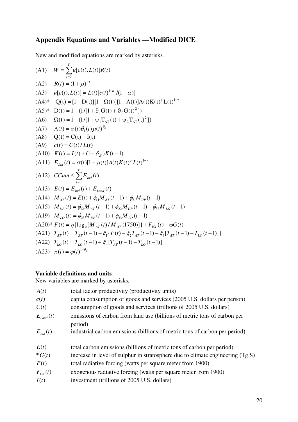# **Appendix Equations and Variables —Modified DICE**

New and modified equations are marked by asterisks*.* 

(A1) 
$$
W = \sum_{t=0}^{T} u[c(t), L(t)]R(t)
$$
  
\n(A2) 
$$
R(t) = (1 + \rho)^{-t}
$$
  
\n(A3) 
$$
u[c(t), L(t)] = L(t)[c(t)^{1-\alpha}/(1-\alpha)]
$$
  
\n(A4)\* 
$$
Q(t) = [1 - D(t)][1 - \Omega(t)][1 - \Lambda(t)]A(t)K(t)^{T}L(t)^{1-\gamma}
$$
  
\n(A5)\* 
$$
D(t) = 1 - (1/[1 + \vartheta_{1}G(t) + \vartheta_{2}G(t)^{2}])
$$
  
\n(A6) 
$$
\Omega(t) = 1 - (1/[1 + \psi_{1}T_{AT}(t) + \psi_{2}T_{AT}(t)^{2}])
$$
  
\n(A7) 
$$
\Lambda(t) = \pi(t)\theta_{1}(t)\mu(t)^{\theta_{2}}
$$
  
\n(A8) 
$$
Q(t) = C(t) + I(t)
$$
  
\n(A9) 
$$
c(t) = C(t) / L(t)
$$
  
\n(A10) 
$$
K(t) = I(t) + (1 - \delta_{K})K(t - 1)
$$
  
\n(A11) 
$$
E_{Ind}(t) = \sigma(t)[1 - \mu(t)]A(t)K(t)^{r}L(t)^{1-r}
$$
  
\n(A12) 
$$
CCum \leq \sum_{t=0}^{T} E_{Ind}(t)
$$
  
\n(A13) 
$$
E(t) = E_{Ind}(t) + E_{Land}(t)
$$
  
\n(A14) 
$$
M_{AT}(t) = E(t) + \phi_{11}M_{AT}(t - 1) + \phi_{21}M_{UP}(t - 1)
$$
  
\n(A15) 
$$
M_{UP}(t) = \phi_{12}M_{AT}(t - 1) + \phi_{22}M_{UP}(t - 1) + \phi_{32}M_{LO}(t - 1)
$$
  
\n(A19) 
$$
M_{LO}(t) = \phi_{23}M_{UP}(t - 1) + \phi_{33}M_{LO}(t - 1)
$$
  
\n(A20)\* 
$$
F(t) = \eta\{\log_{2}[M_{AT}(t)/M_{AT}(1750)]\} + F_{EX}(t) - \sigma G(t)
$$
  
\n(A21) 
$$
T_{AT}(t) = T_{AT}(t - 1) + \zeta
$$

### **Variable definitions and units**

New variables are marked by asterisks*.* 

| A(t)                             | total factor productivity (productivity units)                                   |
|----------------------------------|----------------------------------------------------------------------------------|
| c(t)                             | capita consumption of goods and services (2005 U.S. dollars per person)          |
| C(t)                             | consumption of goods and services (trillions of 2005 U.S. dollars)               |
| $E_{Land}(t)$                    | emissions of carbon from land use (billions of metric tons of carbon per         |
|                                  | period)                                                                          |
| $E_{\scriptscriptstyle{Ind}}(t)$ | industrial carbon emissions (billions of metric tons of carbon per period)       |
|                                  |                                                                                  |
| E(t)                             | total carbon emissions (billions of metric tons of carbon per period)            |
| $*G(t)$                          | increase in level of sulphur in stratosphere due to climate engineering $(Tg S)$ |
| F(t)                             |                                                                                  |
|                                  | total radiative forcing (watts per square meter from 1900)                       |
| $F_{\rm rx}(t)$                  | exogenous radiative forcing (watts per square meter from 1900)                   |
| I(t)                             | investment (trillions of 2005 U.S. dollars)                                      |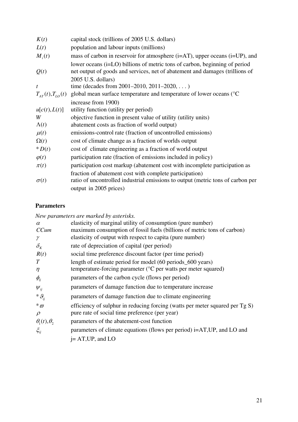| K(t)         | capital stock (trillions of 2005 U.S. dollars)                                                                                                             |
|--------------|------------------------------------------------------------------------------------------------------------------------------------------------------------|
| L(t)         | population and labour inputs (millions)                                                                                                                    |
| $M_i(t)$     | mass of carbon in reservoir for atmosphere (i=AT), upper oceans (i=UP), and                                                                                |
| Q(t)         | lower oceans (i=LO) billions of metric tons of carbon, beginning of period<br>net output of goods and services, net of abatement and damages (trillions of |
|              | 2005 U.S. dollars)                                                                                                                                         |
| t            | time (decades from 2001–2010, 2011–2020, )                                                                                                                 |
|              | $T_{AT}(t)$ , $T_{LO}(t)$ global mean surface temperature and temperature of lower oceans (°C                                                              |
|              | increase from 1900)                                                                                                                                        |
| u[c(t),L(t)] | utility function (utility per period)                                                                                                                      |
| W            | objective function in present value of utility (utility units)                                                                                             |
| $\Lambda(t)$ | abatement costs as fraction of world output)                                                                                                               |
| $\mu(t)$     | emissions-control rate (fraction of uncontrolled emissions)                                                                                                |
| $\Omega(t)$  | cost of climate change as a fraction of worlds output                                                                                                      |
| $*D(t)$      | cost of climate engineering as a fraction of world output                                                                                                  |
| $\varphi(t)$ | participation rate (fraction of emissions included in policy)                                                                                              |
| $\pi(t)$     | participation cost markup (abatement cost with incomplete participation as                                                                                 |
|              | fraction of abatement cost with complete participation)                                                                                                    |
| $\sigma(t)$  | ratio of uncontrolled industrial emissions to output (metric tons of carbon per                                                                            |
|              | output in 2005 prices)                                                                                                                                     |

### **Parameters**

*New parameters are marked by asterisks.* 

| $\alpha$                 | elasticity of marginal utility of consumption (pure number)                  |
|--------------------------|------------------------------------------------------------------------------|
| CCum                     | maximum consumption of fossil fuels (billions of metric tons of carbon)      |
| γ                        | elasticity of output with respect to capita (pure number)                    |
| $\delta_{\kappa}$        | rate of depreciation of capital (per period)                                 |
| R(t)                     | social time preference discount factor (per time period)                     |
| T                        | length of estimate period for model (60 periods 600 years)                   |
| $\eta$                   | temperature-forcing parameter ( ${}^{\circ}$ C per watts per meter squared)  |
| $\phi_{ii}$              | parameters of the carbon cycle (flows per period)                            |
| $\boldsymbol{\psi}_{ii}$ | parameters of damage function due to temperature increase                    |
| ${}^*\vartheta_{ii}$     | parameters of damage function due to climate engineering                     |
| ${}^*\varpi$             | efficiency of sulphur in reducing forcing (watts per meter squared per Tg S) |
| $\rho$                   | pure rate of social time preference (per year)                               |
| $\theta_1(t), \theta_2$  | parameters of the abatement-cost function                                    |
| $\xi_{ii}$               | parameters of climate equations (flows per period) i=AT, UP, and LO and      |
|                          | $i=AT,UP,$ and LO                                                            |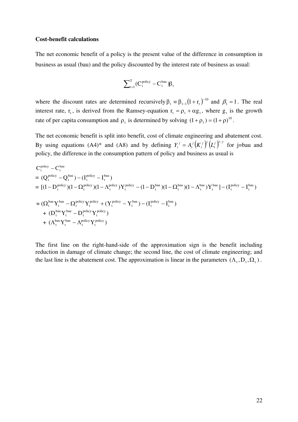#### **Cost-benefit calculations**

The net economic benefit of a policy is the present value of the difference in consumption in business as usual (bau) and the policy discounted by the interest rate of business as usual:

$$
\sum\nolimits_{t = 1}^T (C_t^{\,\mathrm{policy}} - C_t^{\,\mathrm{bau}})\beta_t
$$

where the discount rates are determined recursively  $\beta_t = \beta_{t-1}(1+r_t)^{-10}$  $\beta_t = \beta_{t-1} (1 + r_t)^{-10}$  and  $\beta_1 = 1$ . The real interest rate, r<sub>t</sub>, is derived from the Ramsey-equation  $r_t = \rho_t + \alpha g_t$ , where  $g_t$  is the growth rate of per capita consumption and  $\rho_t$  is determined by solving  $(1 + \rho_t) = (1 + \rho)^{10}$ .

The net economic benefit is split into benefit, cost of climate engineering and abatement cost. By using equations (A4)\* and (A8) and by defining  $Y_t^j = A_t^j (K_t^j) (L_t^j)^{1-\gamma}$ *t j t j t*  $Y_t^j = A_t^j (K_t^j)^\gamma (L_t^j)^{1-\gamma}$  for j=bau and policy, the difference in the consumption pattern of policy and business as usual is

$$
C_t^{\text{policy}} - C_t^{\text{bau}}
$$
\n
$$
= (Q_t^{\text{policy}} - Q_t^{\text{bau}}) - (I_t^{\text{policy}} - I_t^{\text{bau}})
$$
\n
$$
= [(1 - D_t^{\text{policy}})(1 - \Omega_t^{\text{policy}})(1 - \Lambda_t^{\text{policy}})Y_t^{\text{policy}} - (1 - D_t^{\text{bau}})(1 - \Omega_t^{\text{bau}})(1 - \Lambda_t^{\text{bau}})Y_t^{\text{bau}}] - (I_t^{\text{policy}} - I_t^{\text{bau}})
$$
\n
$$
\approx (\Omega_t^{\text{bau}} Y_t^{\text{bau}} - \Omega_t^{\text{policy}} Y_t^{\text{policy}} + (Y_t^{\text{policy}} - Y_t^{\text{bau}}) - (I_t^{\text{policy}} - I_t^{\text{bau}})
$$
\n
$$
+ (D_t^{\text{bau}} Y_t^{\text{bau}} - D_t^{\text{policy}} Y_t^{\text{policy}})
$$
\n
$$
+ (\Lambda_t^{\text{bau}} Y_t^{\text{bau}} - \Lambda_t^{\text{policy}} Y_t^{\text{policy}})
$$

The first line on the right-hand-side of the approximation sign is the benefit including reduction in damage of climate change; the second line, the cost of climate engineering; and the last line is the abatement cost. The approximation is linear in the parameters  $( \Lambda_t, D_t, \Omega_t ).$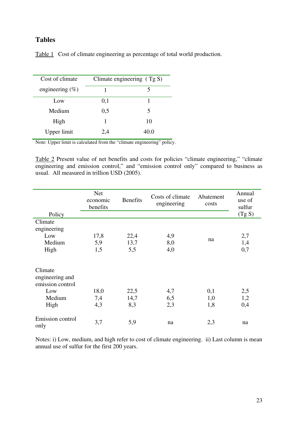### **Tables**

|  |  | Table 1 Cost of climate engineering as percentage of total world production. |
|--|--|------------------------------------------------------------------------------|
|  |  |                                                                              |

| Cost of climate     | Climate engineering $(Tg S)$ |      |  |
|---------------------|------------------------------|------|--|
| engineering $(\% )$ |                              |      |  |
| Low                 | 0,1                          |      |  |
| Medium              | 0,5                          | 5    |  |
| High                |                              | 10   |  |
| Upper limit         | 2.4                          | 40.0 |  |

Note: Upper limit is calculated from the "climate engineering" policy.

Table 2 Present value of net benefits and costs for policies "climate engineering," "climate engineering and emission control," and "emission control only" compared to business as usual. All measured in trillion USD (2005).

| Policy                                                                  | <b>Net</b><br>economic<br>benefits | <b>Benefits</b>     | Costs of climate<br>engineering | Abatement<br>costs | Annual<br>use of<br>sulfur<br>(Tg S) |
|-------------------------------------------------------------------------|------------------------------------|---------------------|---------------------------------|--------------------|--------------------------------------|
| Climate<br>engineering<br>Low<br>Medium<br>High                         | 17,8<br>5,9<br>1,5                 | 22,4<br>13,7<br>5,5 | 4,9<br>8,0<br>4,0               | na                 | 2,7<br>1,4<br>0,7                    |
| Climate<br>engineering and<br>emission control<br>Low<br>Medium<br>High | 18,0<br>7,4<br>4,3                 | 22,5<br>14,7<br>8,3 | 4,7<br>6,5<br>2,3               | 0,1<br>1,0<br>1,8  | 2,5<br>1,2<br>0,4                    |
| Emission control<br>only                                                | 3,7                                | 5,9                 | na                              | 2,3                | na                                   |

Notes: i) Low, medium, and high refer to cost of climate engineering. ii) Last column is mean annual use of sulfur for the first 200 years.